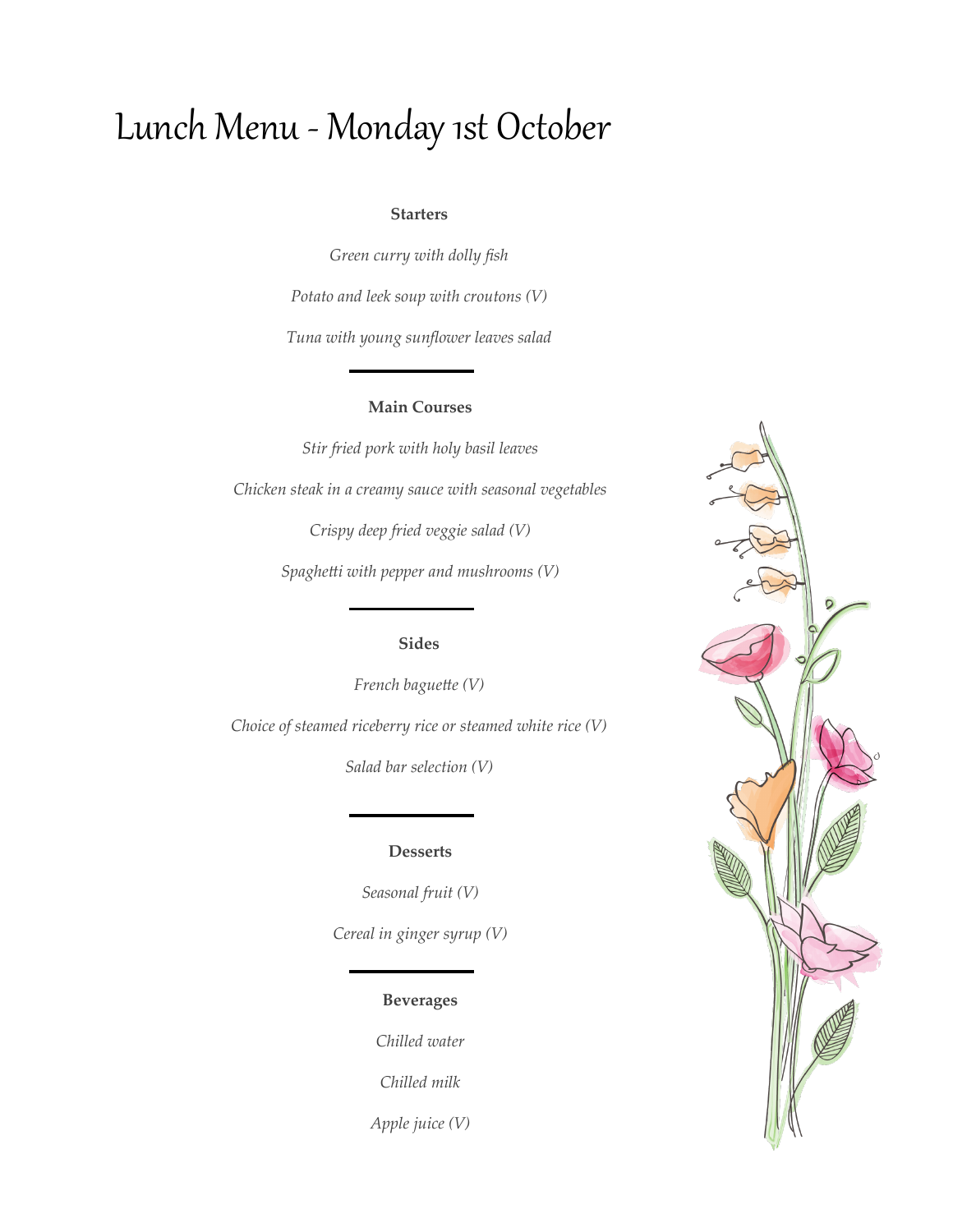# Lunch Menu - Monday 1st October

#### **Starters**

*Green curry with dolly fish Potato and leek soup with croutons (V) Tuna with young sunflower leaves salad*

### **Main Courses**

*Stir fried pork with holy basil leaves Chicken steak in a creamy sauce with seasonal vegetables Crispy deep fried veggie salad (V) Spaghetti with pepper and mushrooms (V)*

# **Sides**

*French baguette (V) Choice of steamed riceberry rice or steamed white rice (V)*

*Salad bar selection (V)*

#### **Desserts**

*Seasonal fruit (V) Cereal in ginger syrup (V)*

## **Beverages**

*Chilled water*

*Chilled milk*

*Apple juice (V)*

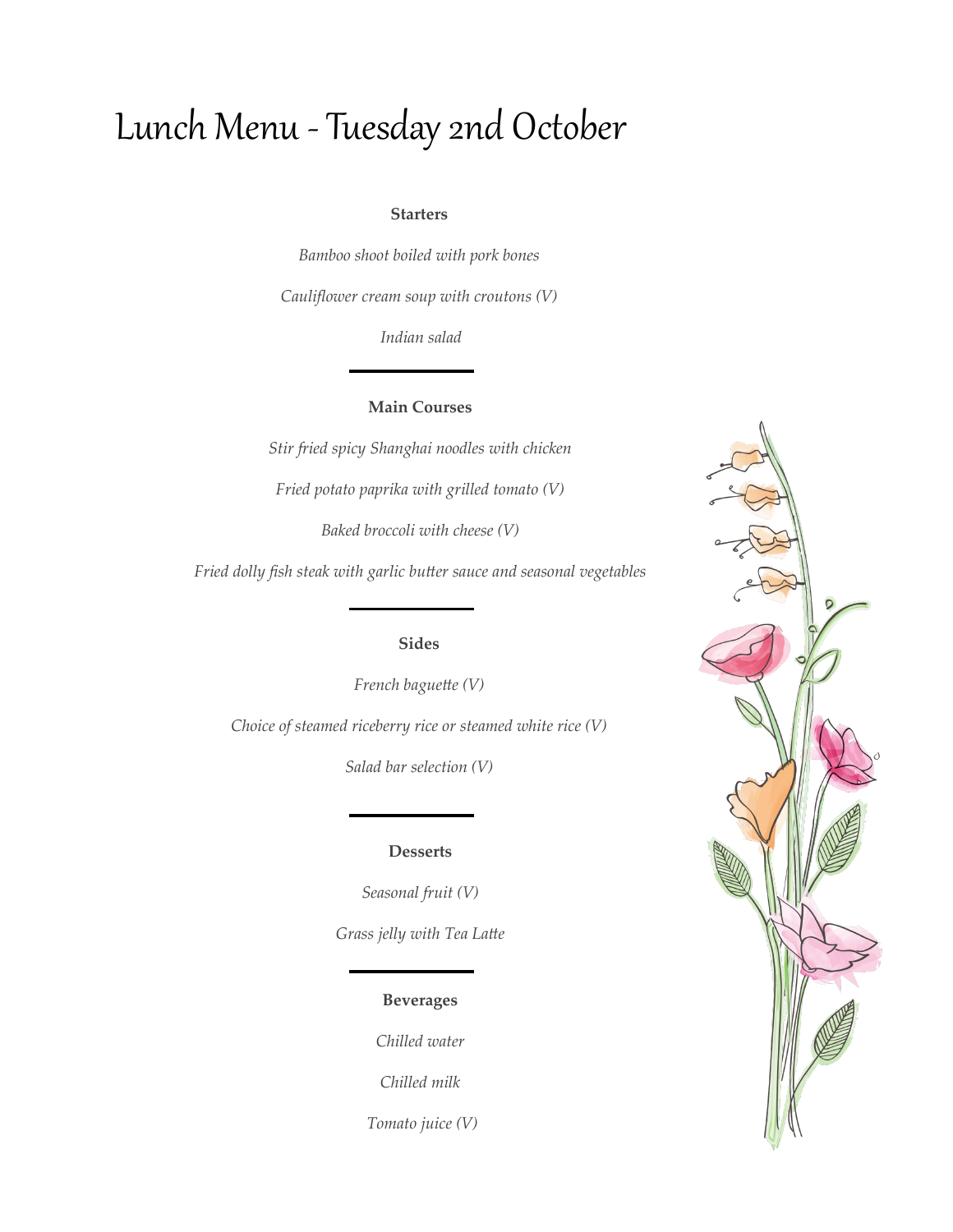# Lunch Menu - Tuesday 2nd October

#### **Starters**

*Bamboo shoot boiled with pork bones*

*Cauliflower cream soup with croutons (V)*

*Indian salad*

### **Main Courses**

*Stir fried spicy Shanghai noodles with chicken*

*Fried potato paprika with grilled tomato (V)*

*Baked broccoli with cheese (V)*

*Fried dolly fish steak with garlic butter sauce and seasonal vegetables*

## **Sides**

*French baguette (V) Choice of steamed riceberry rice or steamed white rice (V)*

*Salad bar selection (V)*

### **Desserts**

*Seasonal fruit (V) Grass jelly with Tea Latte*

## **Beverages**

*Chilled water*

*Chilled milk*

*Tomato juice (V)*

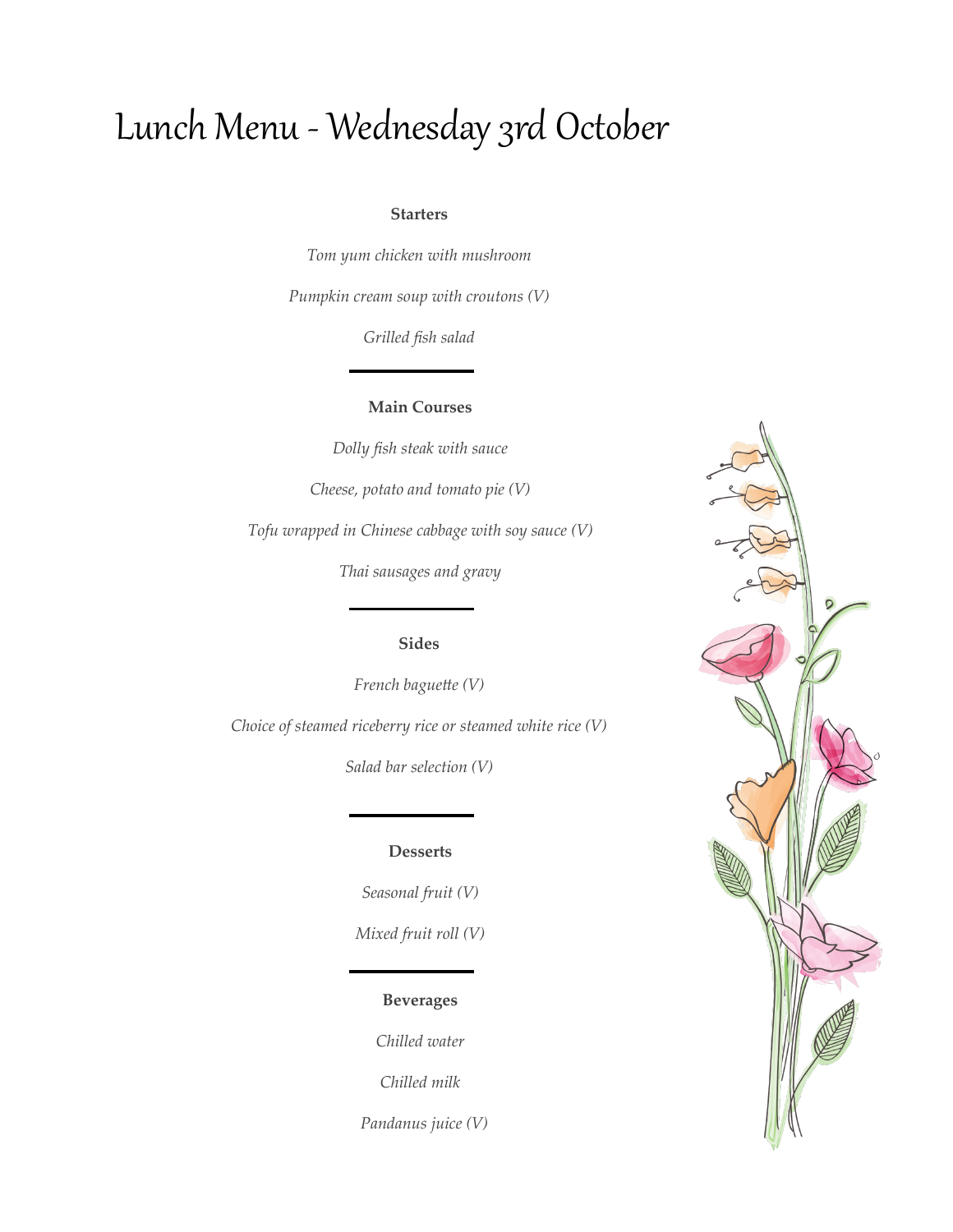# Lunch Menu - Wednesday 3rd October

#### **Starters**

*Tom yum chicken with mushroom* 

*Pumpkin cream soup with croutons (V)*

*Grilled fish salad*

## **Main Courses**

*Dolly fish steak with sauce* 

*Cheese, potato and tomato pie (V)*

*Tofu wrapped in Chinese cabbage with soy sauce (V)*

*Thai sausages and gravy* 

## **Sides**

*French baguette (V)*

*Choice of steamed riceberry rice or steamed white rice (V)*

*Salad bar selection (V)*

### **Desserts**

*Seasonal fruit (V) Mixed fruit roll (V)*

# **Beverages**

*Chilled water*

*Chilled milk*

 *Pandanus juice (V)*

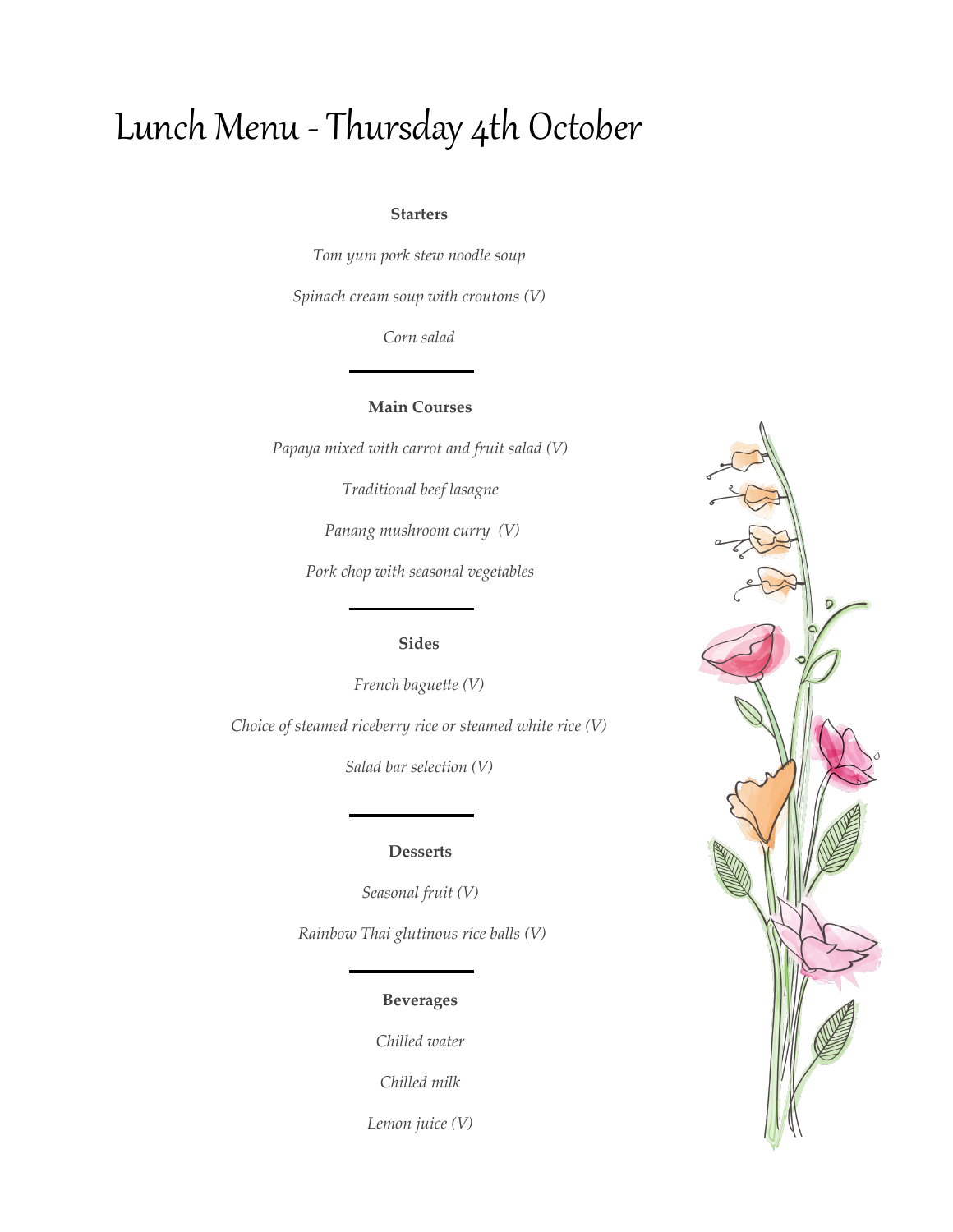# Lunch Menu - Thursday 4th October

#### **Starters**

*Tom yum pork stew noodle soup*

*Spinach cream soup with croutons (V)*

*Corn salad* 

### **Main Courses**

*Papaya mixed with carrot and fruit salad (V)* 

*Traditional beef lasagne*

*Panang mushroom curry (V)*

*Pork chop with seasonal vegetables*

## **Sides**

*French baguette (V)*

*Choice of steamed riceberry rice or steamed white rice (V)*

*Salad bar selection (V)*

#### **Desserts**

*Seasonal fruit (V)*

*Rainbow Thai glutinous rice balls (V)*

## **Beverages**

*Chilled water*

*Chilled milk*

*Lemon juice (V)*

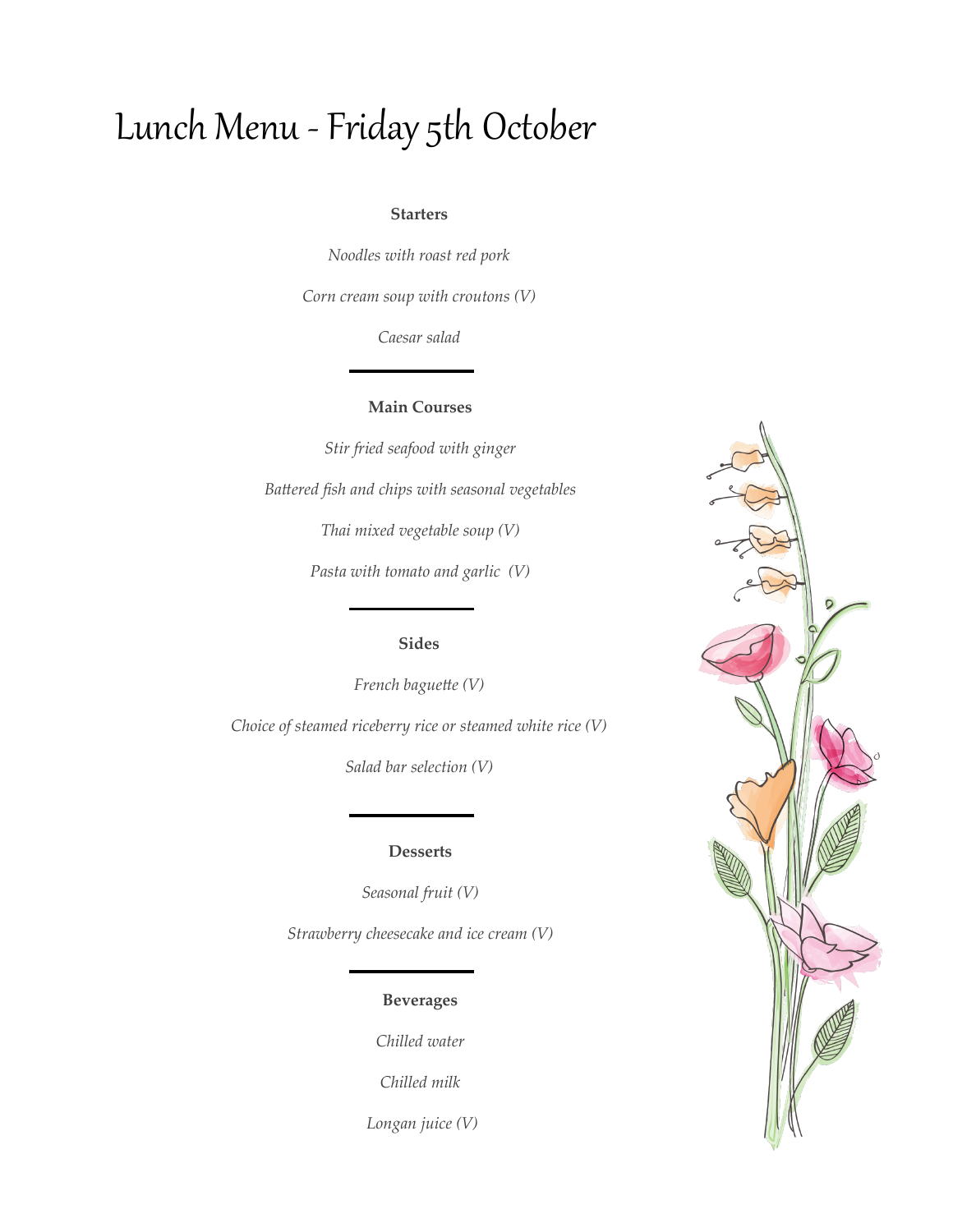# Lunch Menu -Friday 5th October

#### **Starters**

*Noodles with roast red pork* 

*Corn cream soup with croutons (V)*

*Caesar salad*

### **Main Courses**

*Stir fried seafood with ginger Battered fish and chips with seasonal vegetables Thai mixed vegetable soup (V) Pasta with tomato and garlic (V)*

# **Sides**

*French baguette (V)*

*Choice of steamed riceberry rice or steamed white rice (V)*

*Salad bar selection (V)*

#### **Desserts**

*Seasonal fruit (V)*

*Strawberry cheesecake and ice cream (V)*

# **Beverages**

*Chilled water*

*Chilled milk*

*Longan juice (V)*

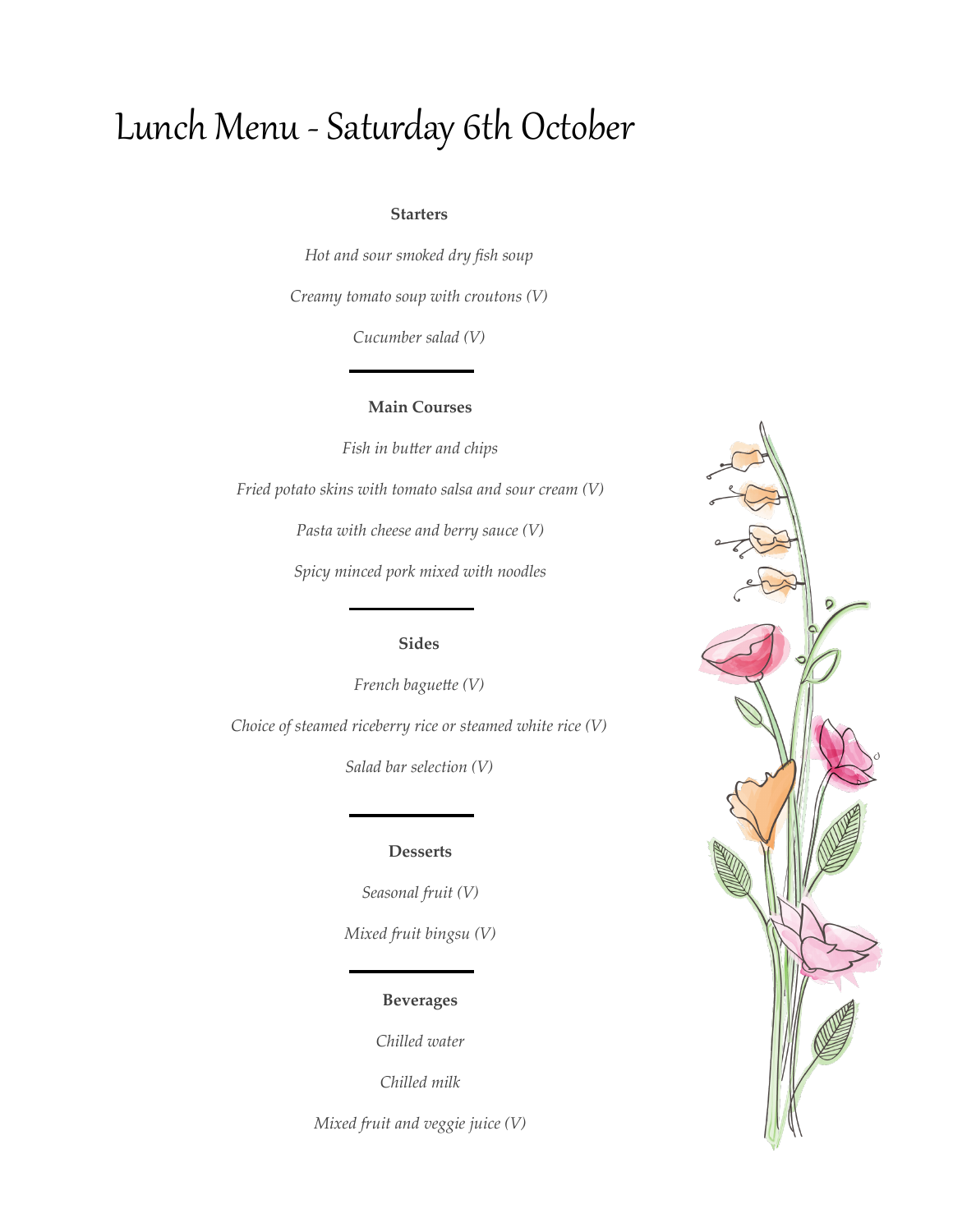# Lunch Menu - Saturday 6th October

#### **Starters**

*Hot and sour smoked dry fish soup Creamy tomato soup with croutons (V)*

*Cucumber salad (V)*

### **Main Courses**

*Fish in butter and chips*

*Fried potato skins with tomato salsa and sour cream (V)*

*Pasta with cheese and berry sauce (V)*

*Spicy minced pork mixed with noodles* 

## **Sides**

*French baguette (V) Choice of steamed riceberry rice or steamed white rice (V)*

*Salad bar selection (V)*

#### **Desserts**

*Seasonal fruit (V) Mixed fruit bingsu (V)*

## **Beverages**

*Chilled water*

*Chilled milk*

*Mixed fruit and veggie juice (V)*